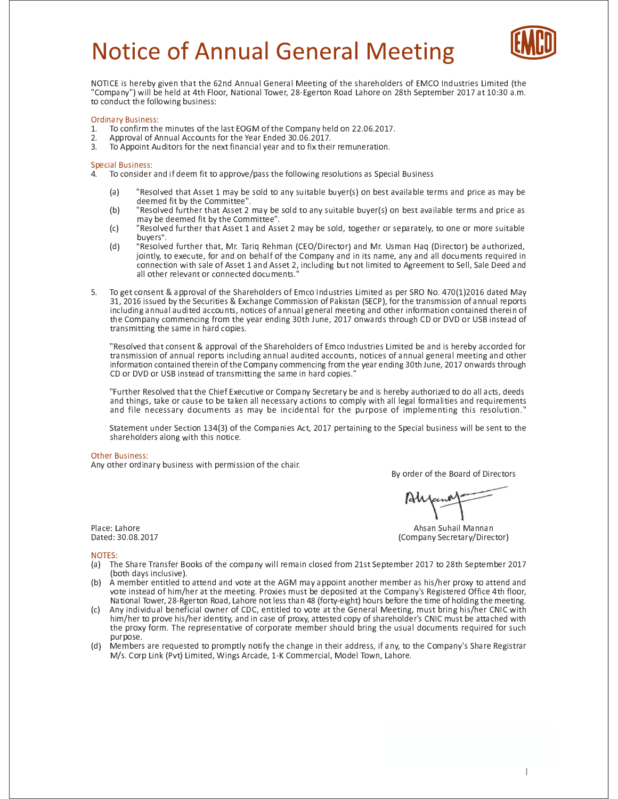# **Notice of Annual General Meeting**



NOTICE is hereby given that the 62nd Annual General Meeting of the shareholders of EMCO Industries Limited (the "Company") will be held at 4th Floor, National Tower, 28-Egerton Road Lahore on 28th September 2017 at 10:30 a.m. to conduct the following business:

## **Ordinary Business:**

- To confirm the minutes of the last EOGM of the Company held on 22.06.2017.  $1<sub>1</sub>$
- $2.$ Approval of Annual Accounts for the Year Ended 30.06.2017.
- To Appoint Auditors for the next financial year and to fix their remuneration.  $\overline{3}$ .

## **Special Business:**

To consider and if deem fit to approve/pass the following resolutions as Special Business  $\overline{4}$ .

- $(a)$ "Resolved that Asset 1 may be sold to any suitable buyer(s) on best available terms and price as may be deemed fit by the Committee".
- $(b)$ "Resolved further that Asset 2 may be sold to any suitable buyer(s) on best available terms and price as may be deemed fit by the Committee".
- $(c)$ "Resolved further that Asset 1 and Asset 2 may be sold, together or separately, to one or more suitable buvers".
- $(d)$ "Resolved further that, Mr. Tariq Rehman (CEO/Director) and Mr. Usman Haq (Director) be authorized, jointly, to execute, for and on behalf of the Company and in its name, any and all documents required in connection with sale of Asset 1 and Asset 2, including but not limited to Agreement to Sell, Sale Deed and all other relevant or connected documents."
- $5.$ To get consent & approval of the Shareholders of Emco Industries Limited as per SRO No. 470(1)2016 dated May 31, 2016 issued by the Securities & Exchange Commission of Pakistan (SECP), for the transmission of annual reports including annual audited accounts, notices of annual general meeting and other information contained therein of the Company commencing from the year ending 30th June, 2017 onwards through CD or DVD or USB instead of transmitting the same in hard copies.

"Resolved that consent & approval of the Shareholders of Emco Industries Limited be and is hereby accorded for transmission of annual reports including annual audited accounts, notices of annual general meeting and other information contained therein of the Company commencing from the year ending 30th June, 2017 onwards through CD or DVD or USB instead of transmitting the same in hard copies."

"Further Resolved that the Chief Executive or Company Secretary be and is hereby authorized to do all acts, deeds and things, take or cause to be taken all necessary actions to comply with all legal formalities and requirements and file necessary documents as may be incidental for the purpose of implementing this resolution."

Statement under Section 134(3) of the Companies Act, 2017 pertaining to the Special business will be sent to the shareholders along with this notice.

## **Other Business:**

Any other ordinary business with permission of the chair.

By order of the Board of Directors

Ahsan Suhail Mannan (Company Secretary/Director)

Place: Lahore Dated: 30.08.2017

## NOTES:

- The Share Transfer Books of the company will remain closed from 21st September 2017 to 28th September 2017  $(a)$ (both days inclusive).
- $(h)$ A member entitled to attend and vote at the AGM may appoint another member as his/her proxy to attend and vote instead of him/her at the meeting. Proxies must be deposited at the Company's Registered Office 4th floor, National Tower, 28-Rgerton Road, Lahore not less than 48 (forty-eight) hours before the time of holding the meeting.
- (c) Any individual beneficial owner of CDC, entitled to vote at the General Meeting, must bring his/her CNIC with him/her to prove his/her identity, and in case of proxy, attested copy of shareholder's CNIC must be attached with the proxy form. The representative of corporate member should bring the usual documents required for such nurnose.
- (d) Members are requested to promptly notify the change in their address, if any, to the Company's Share Registrar M/s. Corp Link (Pvt) Limited, Wings Arcade, 1-K Commercial, Model Town, Lahore.